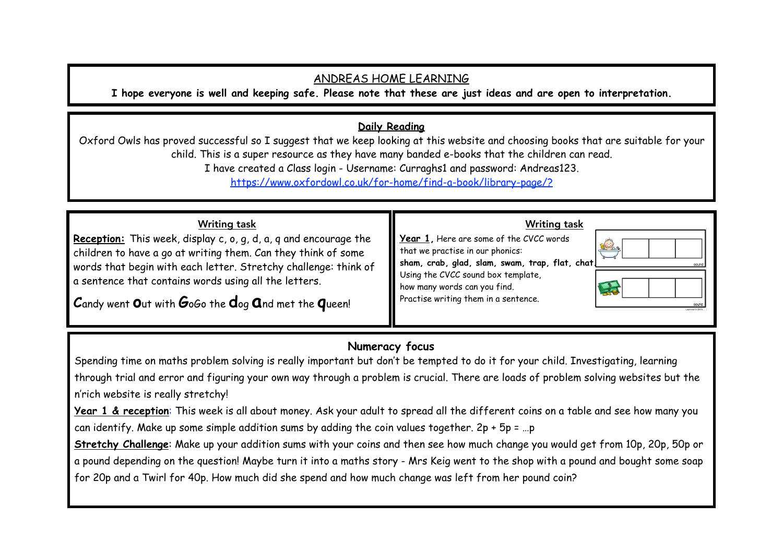# ANDREAS HOME LEARNING

**I hope everyone is well and keeping safe. Please note that these are just ideas and are open to interpretation.** 

## **Daily Reading**

Oxford Owls has proved successful so I suggest that we keep looking at this website and choosing books that are suitable for your child. This is a super resource as they have many banded e-books that the children can read. I have created a Class login - Username: Curraghs1 and password: Andreas123. [https://www.oxfordowl.co.uk/for-home/find-a-book/library-page/?](https://www.oxfordowl.co.uk/for-home/find-a-book/library-page/?view=image&query=&type=book&age_group=Age+4-5&level=&level_select=&book_type=&series=#)

#### Writing task **Reception:** This week, display c, o, g, d, a, q and encourage the children to have a go at writing them. Can they think of some words that begin with each letter. Stretchy challenge: think of a sentence that contains words using all the letters. **C**andy went **o**ut with **G**oGo the **d**og **a**nd met the **q**ueen! Writing task **Year 1,** Here are some of the CVCC words that we practise in our phonics: **sham, crab, glad, slam, swam, trap, flat, chat.**  Using the CVCC sound box template, how many words can you find. Practise writing them in a sentence.

# **Numeracy focus**

Spending time on maths problem solving is really important but don't be tempted to do it for your child. Investigating, learning through trial and error and figuring your own way through a problem is crucial. There are loads of problem solving websites but the n'rich website is really stretchy!

**Year 1 & reception**: This week is all about money. Ask your adult to spread all the different coins on a table and see how many you can identify. Make up some simple addition sums by adding the coin values together. 2p + 5p = …p

**Stretchy Challenge**: Make up your addition sums with your coins and then see how much change you would get from 10p, 20p, 50p or a pound depending on the question! Maybe turn it into a maths story - Mrs Keig went to the shop with a pound and bought some soap for 20p and a Twirl for 40p. How much did she spend and how much change was left from her pound coin?